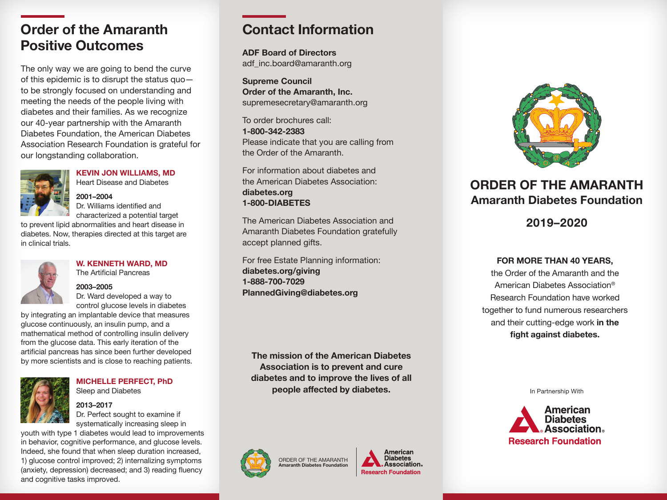## **Order of the Amaranth Positive Outcomes**

The only way we are going to bend the curve of this epidemic is to disrupt the status quo to be strongly focused on understanding and meeting the needs of the people living with diabetes and their families. As we recognize our 40-year partnership with the Amaranth Diabetes Foundation, the American Diabetes Association Research Foundation is grateful for our longstanding collaboration.



**KEVIN JON WILLIAMS, MD** Heart Disease and Diabetes

## **2001–2004**

Dr. Williams identified and characterized a potential target to prevent lipid abnormalities and heart disease in

diabetes. Now, therapies directed at this target are in clinical trials.



**W. KENNETH WARD, MD** The Artificial Pancreas

#### **2003–2005**

Dr. Ward developed a way to control glucose levels in diabetes

by integrating an implantable device that measures glucose continuously, an insulin pump, and a mathematical method of controlling insulin delivery from the glucose data. This early iteration of the artificial pancreas has since been further developed by more scientists and is close to reaching patients.



**MICHELLE PERFECT, PhD** Sleep and Diabetes

#### **2013–2017**

Dr. Perfect sought to examine if systematically increasing sleep in

youth with type 1 diabetes would lead to improvements in behavior, cognitive performance, and glucose levels. Indeed, she found that when sleep duration increased, 1) glucose control improved; 2) internalizing symptoms (anxiety, depression) decreased; and 3) reading fluency and cognitive tasks improved.

# **Contact Information**

**ADF Board of Directors**  adf\_inc.board@amaranth.org

**Supreme Council Order of the Amaranth, Inc.** supremesecretary@amaranth.org

To order brochures call: **1-800-342-2383** Please indicate that you are calling from the Order of the Amaranth.

For information about diabetes and the American Diabetes Association: **diabetes.org 1-800-DIABETES**

The American Diabetes Association and Amaranth Diabetes Foundation gratefully accept planned gifts.

For free Estate Planning information: **diabetes.org/giving 1-888-700-7029 PlannedGiving@diabetes.org** 

**The mission of the American Diabetes Association is to prevent and cure diabetes and to improve the lives of all people affected by diabetes.**



ORDER OF THE AMARANTH **Amaranth Diabetes Foundation**





## **ORDER OF THE AMARANTH Amaranth Diabetes Foundation**

### **2019–2020**

#### **FOR MORE THAN 40 YEARS,**

the Order of the Amaranth and the American Diabetes Association® Research Foundation have worked together to fund numerous researchers and their cutting-edge work **in the fight against diabetes.** 

In Partnership With